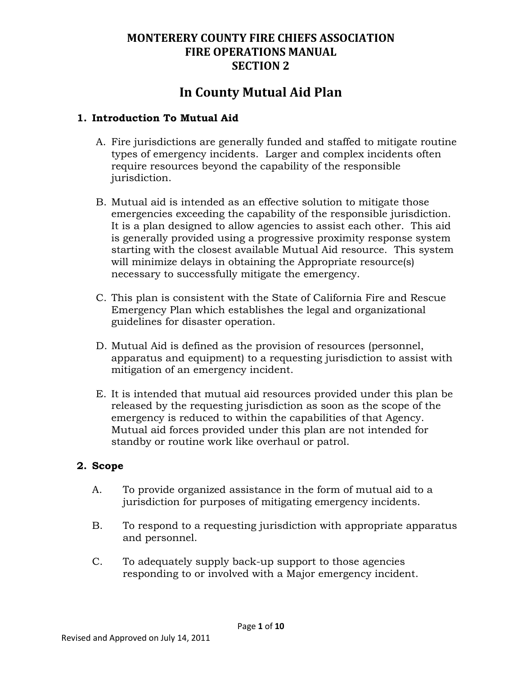# **In County Mutual Aid Plan**

### **1. Introduction To Mutual Aid**

- A. Fire jurisdictions are generally funded and staffed to mitigate routine types of emergency incidents. Larger and complex incidents often require resources beyond the capability of the responsible jurisdiction.
- B. Mutual aid is intended as an effective solution to mitigate those emergencies exceeding the capability of the responsible jurisdiction. It is a plan designed to allow agencies to assist each other. This aid is generally provided using a progressive proximity response system starting with the closest available Mutual Aid resource. This system will minimize delays in obtaining the Appropriate resource(s) necessary to successfully mitigate the emergency.
- C. This plan is consistent with the State of California Fire and Rescue Emergency Plan which establishes the legal and organizational guidelines for disaster operation.
- D. Mutual Aid is defined as the provision of resources (personnel, apparatus and equipment) to a requesting jurisdiction to assist with mitigation of an emergency incident.
- E. It is intended that mutual aid resources provided under this plan be released by the requesting jurisdiction as soon as the scope of the emergency is reduced to within the capabilities of that Agency. Mutual aid forces provided under this plan are not intended for standby or routine work like overhaul or patrol.

#### **2. Scope**

- A. To provide organized assistance in the form of mutual aid to a jurisdiction for purposes of mitigating emergency incidents.
- B. To respond to a requesting jurisdiction with appropriate apparatus and personnel.
- C. To adequately supply back-up support to those agencies responding to or involved with a Major emergency incident.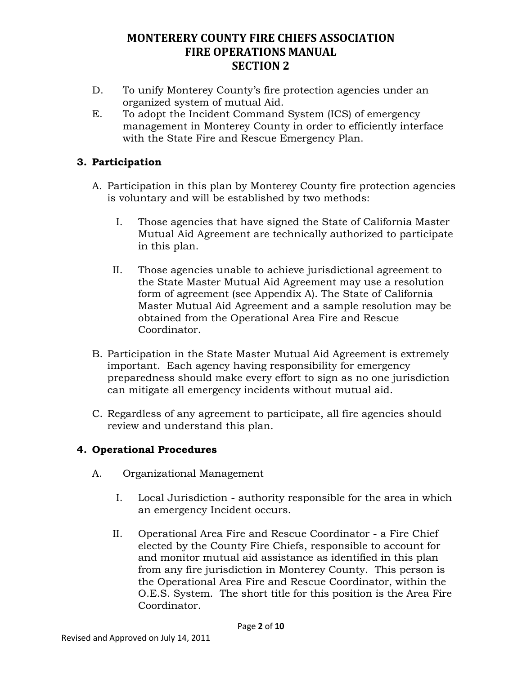- D. To unify Monterey County's fire protection agencies under an organized system of mutual Aid.
- E. To adopt the Incident Command System (ICS) of emergency management in Monterey County in order to efficiently interface with the State Fire and Rescue Emergency Plan.

### **3. Participation**

- A. Participation in this plan by Monterey County fire protection agencies is voluntary and will be established by two methods:
	- I. Those agencies that have signed the State of California Master Mutual Aid Agreement are technically authorized to participate in this plan.
	- II. Those agencies unable to achieve jurisdictional agreement to the State Master Mutual Aid Agreement may use a resolution form of agreement (see Appendix A). The State of California Master Mutual Aid Agreement and a sample resolution may be obtained from the Operational Area Fire and Rescue Coordinator.
- B. Participation in the State Master Mutual Aid Agreement is extremely important. Each agency having responsibility for emergency preparedness should make every effort to sign as no one jurisdiction can mitigate all emergency incidents without mutual aid.
- C. Regardless of any agreement to participate, all fire agencies should review and understand this plan.

### **4. Operational Procedures**

- A. Organizational Management
	- I. Local Jurisdiction authority responsible for the area in which an emergency Incident occurs.
	- II. Operational Area Fire and Rescue Coordinator a Fire Chief elected by the County Fire Chiefs, responsible to account for and monitor mutual aid assistance as identified in this plan from any fire jurisdiction in Monterey County. This person is the Operational Area Fire and Rescue Coordinator, within the O.E.S. System. The short title for this position is the Area Fire Coordinator.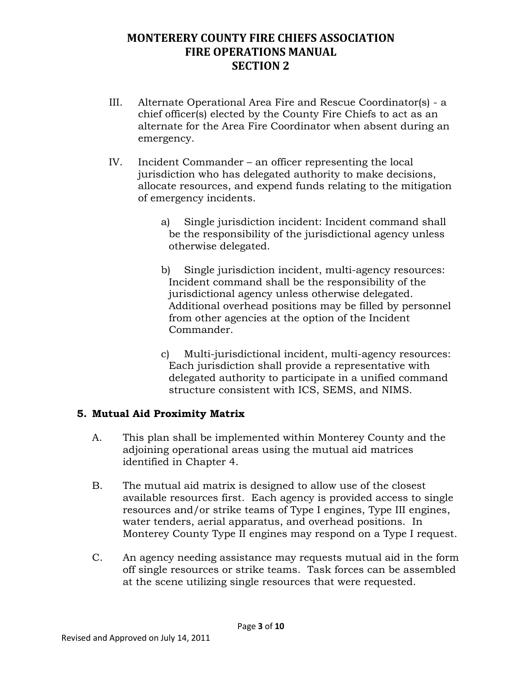- III. Alternate Operational Area Fire and Rescue Coordinator(s) a chief officer(s) elected by the County Fire Chiefs to act as an alternate for the Area Fire Coordinator when absent during an emergency.
- IV. Incident Commander an officer representing the local jurisdiction who has delegated authority to make decisions, allocate resources, and expend funds relating to the mitigation of emergency incidents.
	- a) Single jurisdiction incident: Incident command shall be the responsibility of the jurisdictional agency unless otherwise delegated.
	- b) Single jurisdiction incident, multi-agency resources: Incident command shall be the responsibility of the jurisdictional agency unless otherwise delegated. Additional overhead positions may be filled by personnel from other agencies at the option of the Incident Commander.
	- c) Multi-jurisdictional incident, multi-agency resources: Each jurisdiction shall provide a representative with delegated authority to participate in a unified command structure consistent with ICS, SEMS, and NIMS.

### **5. Mutual Aid Proximity Matrix**

- A. This plan shall be implemented within Monterey County and the adjoining operational areas using the mutual aid matrices identified in Chapter 4.
- B. The mutual aid matrix is designed to allow use of the closest available resources first. Each agency is provided access to single resources and/or strike teams of Type I engines, Type III engines, water tenders, aerial apparatus, and overhead positions. In Monterey County Type II engines may respond on a Type I request.
- C. An agency needing assistance may requests mutual aid in the form off single resources or strike teams. Task forces can be assembled at the scene utilizing single resources that were requested.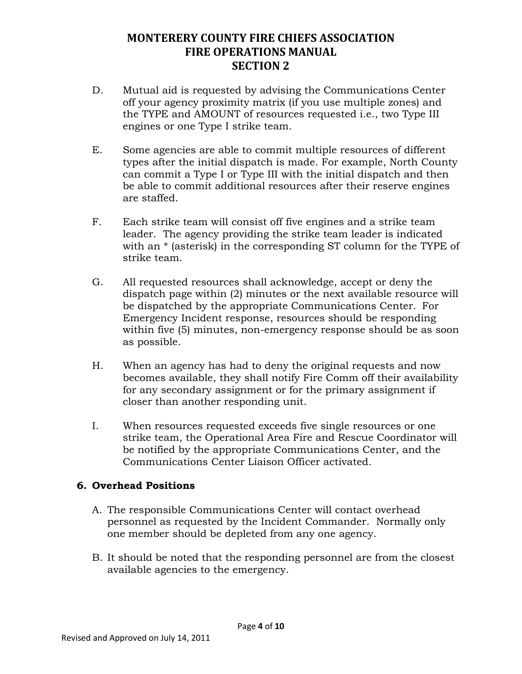- D. Mutual aid is requested by advising the Communications Center off your agency proximity matrix (if you use multiple zones) and the TYPE and AMOUNT of resources requested i.e., two Type III engines or one Type I strike team.
- E. Some agencies are able to commit multiple resources of different types after the initial dispatch is made. For example, North County can commit a Type I or Type III with the initial dispatch and then be able to commit additional resources after their reserve engines are staffed.
- F. Each strike team will consist off five engines and a strike team leader. The agency providing the strike team leader is indicated with an  $*$  (asterisk) in the corresponding ST column for the TYPE of strike team.
- G. All requested resources shall acknowledge, accept or deny the dispatch page within (2) minutes or the next available resource will be dispatched by the appropriate Communications Center. For Emergency Incident response, resources should be responding within five (5) minutes, non-emergency response should be as soon as possible.
- H. When an agency has had to deny the original requests and now becomes available, they shall notify Fire Comm off their availability for any secondary assignment or for the primary assignment if closer than another responding unit.
- I. When resources requested exceeds five single resources or one strike team, the Operational Area Fire and Rescue Coordinator will be notified by the appropriate Communications Center, and the Communications Center Liaison Officer activated.

### **6. Overhead Positions**

- A. The responsible Communications Center will contact overhead personnel as requested by the Incident Commander. Normally only one member should be depleted from any one agency.
- B. It should be noted that the responding personnel are from the closest available agencies to the emergency.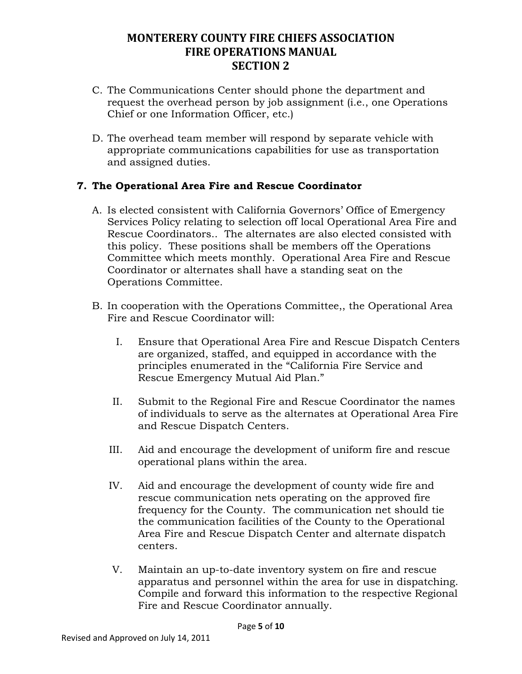- C. The Communications Center should phone the department and request the overhead person by job assignment (i.e., one Operations Chief or one Information Officer, etc.)
- D. The overhead team member will respond by separate vehicle with appropriate communications capabilities for use as transportation and assigned duties.

### **7. The Operational Area Fire and Rescue Coordinator**

- A. Is elected consistent with California Governors' Office of Emergency Services Policy relating to selection off local Operational Area Fire and Rescue Coordinators.. The alternates are also elected consisted with this policy. These positions shall be members off the Operations Committee which meets monthly. Operational Area Fire and Rescue Coordinator or alternates shall have a standing seat on the Operations Committee.
- B. In cooperation with the Operations Committee,, the Operational Area Fire and Rescue Coordinator will:
	- I. Ensure that Operational Area Fire and Rescue Dispatch Centers are organized, staffed, and equipped in accordance with the principles enumerated in the "California Fire Service and Rescue Emergency Mutual Aid Plan."
	- II. Submit to the Regional Fire and Rescue Coordinator the names of individuals to serve as the alternates at Operational Area Fire and Rescue Dispatch Centers.
	- III. Aid and encourage the development of uniform fire and rescue operational plans within the area.
	- IV. Aid and encourage the development of county wide fire and rescue communication nets operating on the approved fire frequency for the County. The communication net should tie the communication facilities of the County to the Operational Area Fire and Rescue Dispatch Center and alternate dispatch centers.
	- V. Maintain an up-to-date inventory system on fire and rescue apparatus and personnel within the area for use in dispatching. Compile and forward this information to the respective Regional Fire and Rescue Coordinator annually.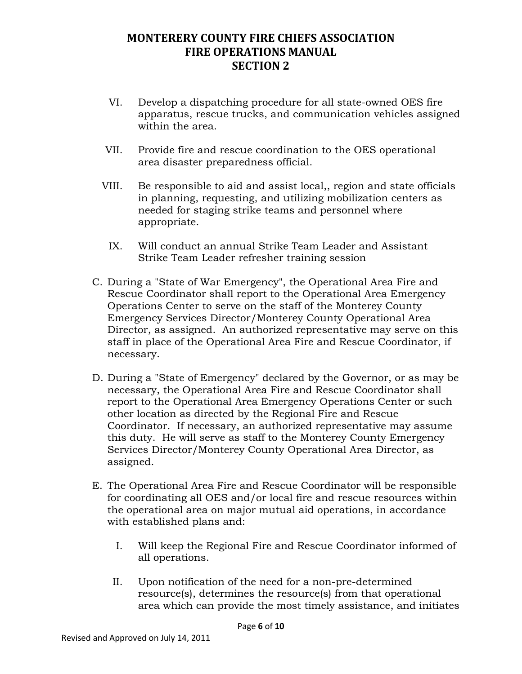- VI. Develop a dispatching procedure for all state-owned OES fire apparatus, rescue trucks, and communication vehicles assigned within the area.
- VII. Provide fire and rescue coordination to the OES operational area disaster preparedness official.
- VIII. Be responsible to aid and assist local,, region and state officials in planning, requesting, and utilizing mobilization centers as needed for staging strike teams and personnel where appropriate.
	- IX. Will conduct an annual Strike Team Leader and Assistant Strike Team Leader refresher training session
- C. During a "State of War Emergency", the Operational Area Fire and Rescue Coordinator shall report to the Operational Area Emergency Operations Center to serve on the staff of the Monterey County Emergency Services Director/Monterey County Operational Area Director, as assigned. An authorized representative may serve on this staff in place of the Operational Area Fire and Rescue Coordinator, if necessary.
- D. During a "State of Emergency" declared by the Governor, or as may be necessary, the Operational Area Fire and Rescue Coordinator shall report to the Operational Area Emergency Operations Center or such other location as directed by the Regional Fire and Rescue Coordinator. If necessary, an authorized representative may assume this duty. He will serve as staff to the Monterey County Emergency Services Director/Monterey County Operational Area Director, as assigned.
- E. The Operational Area Fire and Rescue Coordinator will be responsible for coordinating all OES and/or local fire and rescue resources within the operational area on major mutual aid operations, in accordance with established plans and:
	- I. Will keep the Regional Fire and Rescue Coordinator informed of all operations.
	- II. Upon notification of the need for a non-pre-determined resource(s), determines the resource(s) from that operational area which can provide the most timely assistance, and initiates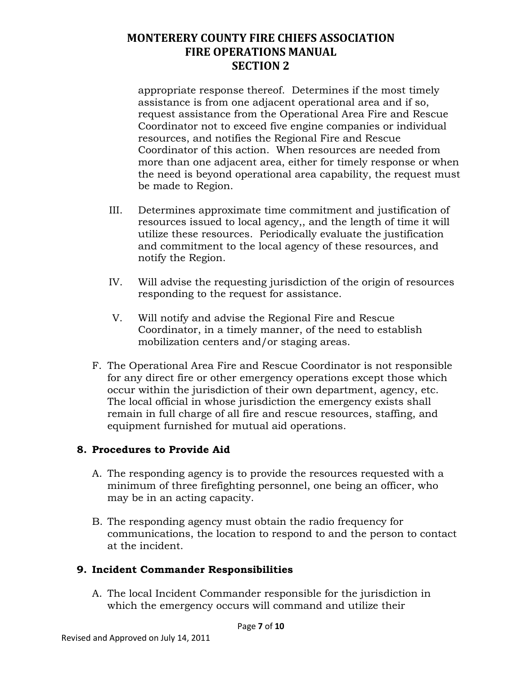appropriate response thereof. Determines if the most timely assistance is from one adjacent operational area and if so, request assistance from the Operational Area Fire and Rescue Coordinator not to exceed five engine companies or individual resources, and notifies the Regional Fire and Rescue Coordinator of this action. When resources are needed from more than one adjacent area, either for timely response or when the need is beyond operational area capability, the request must be made to Region.

- III. Determines approximate time commitment and justification of resources issued to local agency,, and the length of time it will utilize these resources. Periodically evaluate the justification and commitment to the local agency of these resources, and notify the Region.
- IV. Will advise the requesting jurisdiction of the origin of resources responding to the request for assistance.
- V. Will notify and advise the Regional Fire and Rescue Coordinator, in a timely manner, of the need to establish mobilization centers and/or staging areas.
- F. The Operational Area Fire and Rescue Coordinator is not responsible for any direct fire or other emergency operations except those which occur within the jurisdiction of their own department, agency, etc. The local official in whose jurisdiction the emergency exists shall remain in full charge of all fire and rescue resources, staffing, and equipment furnished for mutual aid operations.

### **8. Procedures to Provide Aid**

- A. The responding agency is to provide the resources requested with a minimum of three firefighting personnel, one being an officer, who may be in an acting capacity.
- B. The responding agency must obtain the radio frequency for communications, the location to respond to and the person to contact at the incident.

### **9. Incident Commander Responsibilities**

A. The local Incident Commander responsible for the jurisdiction in which the emergency occurs will command and utilize their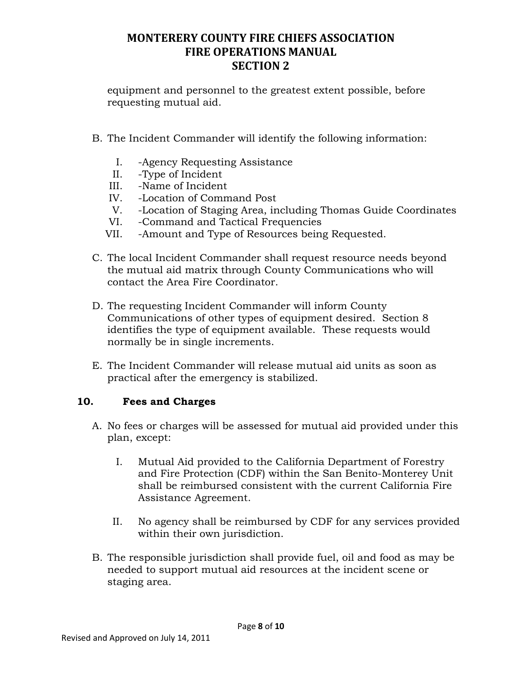equipment and personnel to the greatest extent possible, before requesting mutual aid.

- B. The Incident Commander will identify the following information:
	- I. -Agency Requesting Assistance
	- II. -Type of Incident
	- III. -Name of Incident
	- IV. -Location of Command Post
	- V. -Location of Staging Area, including Thomas Guide Coordinates
	- VI. -Command and Tactical Frequencies
	- VII. -Amount and Type of Resources being Requested.
- C. The local Incident Commander shall request resource needs beyond the mutual aid matrix through County Communications who will contact the Area Fire Coordinator.
- D. The requesting Incident Commander will inform County Communications of other types of equipment desired. Section 8 identifies the type of equipment available. These requests would normally be in single increments.
- E. The Incident Commander will release mutual aid units as soon as practical after the emergency is stabilized.

### **10. Fees and Charges**

- A. No fees or charges will be assessed for mutual aid provided under this plan, except:
	- I. Mutual Aid provided to the California Department of Forestry and Fire Protection (CDF) within the San Benito-Monterey Unit shall be reimbursed consistent with the current California Fire Assistance Agreement.
	- II. No agency shall be reimbursed by CDF for any services provided within their own jurisdiction.
- B. The responsible jurisdiction shall provide fuel, oil and food as may be needed to support mutual aid resources at the incident scene or staging area.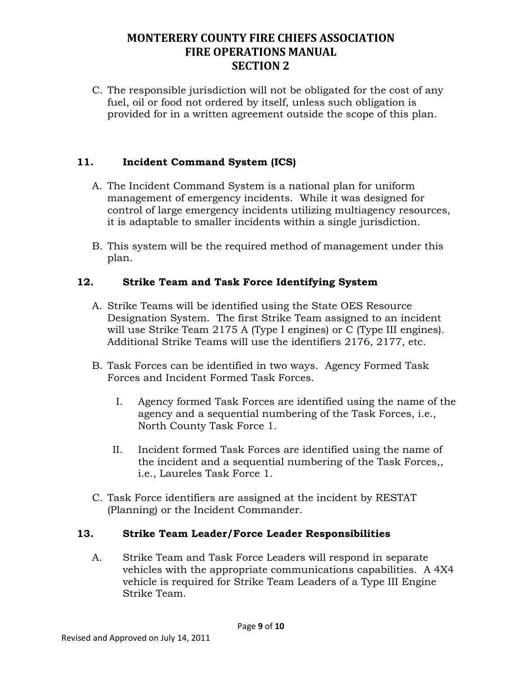C. The responsible jurisdiction will not be obligated for the cost of any fuel, oil or food not ordered by itself, unless such obligation is provided for in a written agreement outside the scope of this plan.

### **11. Incident Command System (ICS)**

- A. The Incident Command System is a national plan for uniform management of emergency incidents. While it was designed for control of large emergency incidents utilizing multiagency resources, it is adaptable to smaller incidents within a single jurisdiction.
- B. This system will be the required method of management under this plan.

#### **12. Strike Team and Task Force Identifying System**

- A. Strike Teams will be identified using the State OES Resource Designation System. The first Strike Team assigned to an incident will use Strike Team 2175 A (Type I engines) or C (Type III engines). Additional Strike Teams will use the identifiers 2176, 2177, etc.
- B. Task Forces can be identified in two ways. Agency Formed Task Forces and Incident Formed Task Forces.
	- I. Agency formed Task Forces are identified using the name of the agency and a sequential numbering of the Task Forces, i.e., North County Task Force 1.
	- II. Incident formed Task Forces are identified using the name of the incident and a sequential numbering of the Task Forces,, i.e., Laureles Task Force 1.
- C. Task Force identifiers are assigned at the incident by RESTAT (Planning) or the Incident Commander.

### **13. Strike Team Leader/Force Leader Responsibilities**

A. Strike Team and Task Force Leaders will respond in separate vehicles with the appropriate communications capabilities. A 4X4 vehicle is required for Strike Team Leaders of a Type III Engine Strike Team.